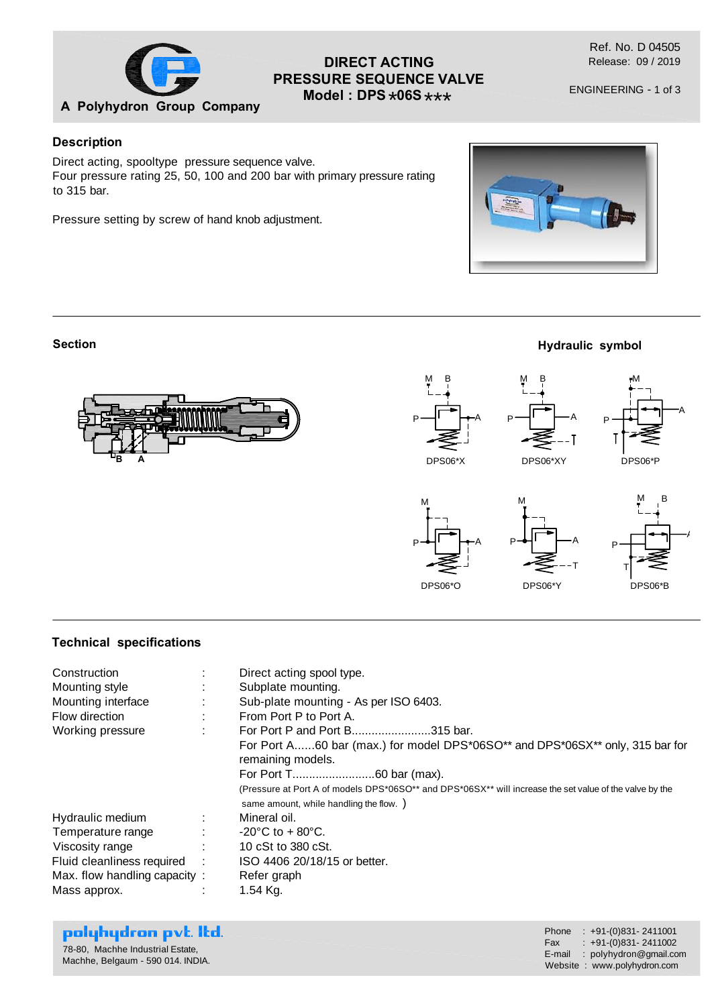

# **DIRECT ACTING PRESSURE SEQUENCE VALVE Model : DPS \*06S \*\*\***

ENGINEERING - 1 of 3

## **Description**

Direct acting, spooltype pressure sequence valve. Four pressure rating 25, 50, 100 and 200 bar with primary pressure rating to 315 bar.

Pressure setting by screw of hand knob adjustment.



**Hydraulic symbol**

DPS06\*Y DPS06\*B

### **Section**



DPS06\*O

### **Technical specifications**

| Construction<br>Mounting style<br>Mounting interface<br>Flow direction<br>Working pressure                                             | ÷ | Direct acting spool type.<br>Subplate mounting.<br>Sub-plate mounting - As per ISO 6403.<br>From Port P to Port A.<br>For Port P and Port B315 bar.<br>For Port A60 bar (max.) for model DPS*06SO** and DPS*06SX** only, 315 bar for<br>remaining models.<br>(Pressure at Port A of models DPS*06SO** and DPS*06SX** will increase the set value of the valve by the<br>same amount, while handling the flow. ) |
|----------------------------------------------------------------------------------------------------------------------------------------|---|-----------------------------------------------------------------------------------------------------------------------------------------------------------------------------------------------------------------------------------------------------------------------------------------------------------------------------------------------------------------------------------------------------------------|
| Hydraulic medium<br>Temperature range<br>Viscosity range<br>Fluid cleanliness required<br>Max. flow handling capacity:<br>Mass approx. | ÷ | Mineral oil.<br>-20 $^{\circ}$ C to + 80 $^{\circ}$ C.<br>10 cSt to 380 cSt.<br>ISO 4406 20/18/15 or better.<br>Refer graph<br>$1.54$ Kg.                                                                                                                                                                                                                                                                       |

| polyhydron pvt. Itd.<br>78-80, Machhe Industrial Estate,<br>Machhe, Belgaum - 590 014. INDIA. | Phone : $+91-(0)831-2411001$<br>$\text{Fax}$ : $+91-(0)831 - 2411002$<br>E-mail: polyhydron@gmail.com<br>Website: www.polyhydron.com |
|-----------------------------------------------------------------------------------------------|--------------------------------------------------------------------------------------------------------------------------------------|
|-----------------------------------------------------------------------------------------------|--------------------------------------------------------------------------------------------------------------------------------------|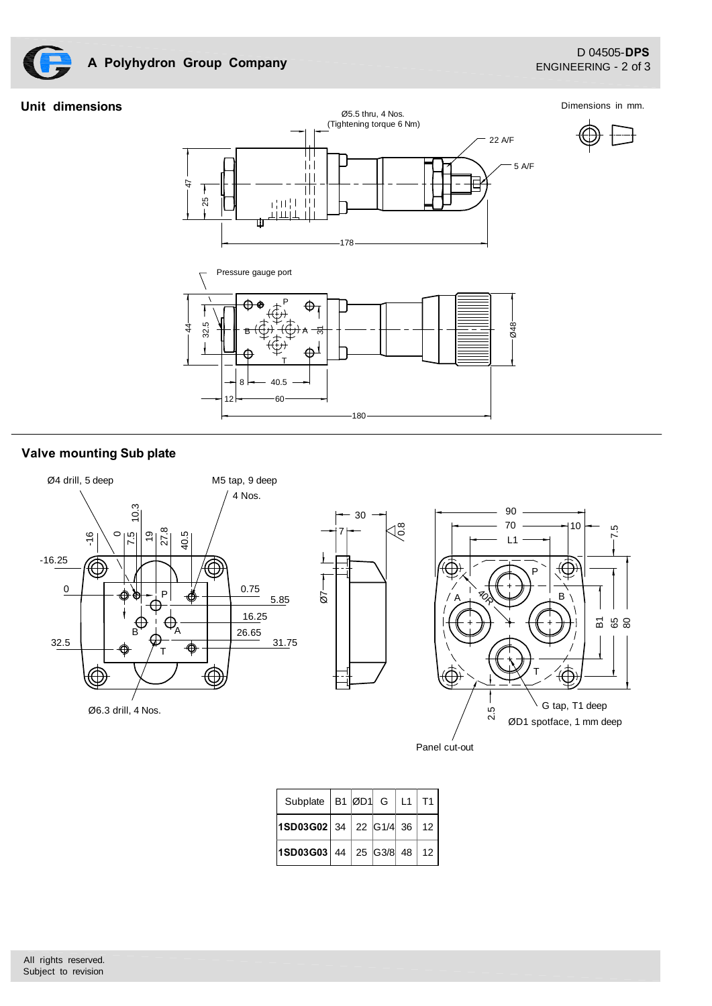

# **A Polyhydron Group Company**

25

7

47

### **Unit dimensions**

Dimensions in mm.





╥╖ TiT  $|||$ 

 $\overline{\mathbb{H}}$ 计时中 iri

īіг

# **Valve mounting Sub plate**





Panel cut-out

| Subplate   B1 $ \emptyset$ D1   G   L1   T1 |  |  |  |
|---------------------------------------------|--|--|--|
| $ 1$ SD03G02 34 22 G1/4 36 12               |  |  |  |
| $ 1$ SD03G03 44 25 G3/8 48 12               |  |  |  |